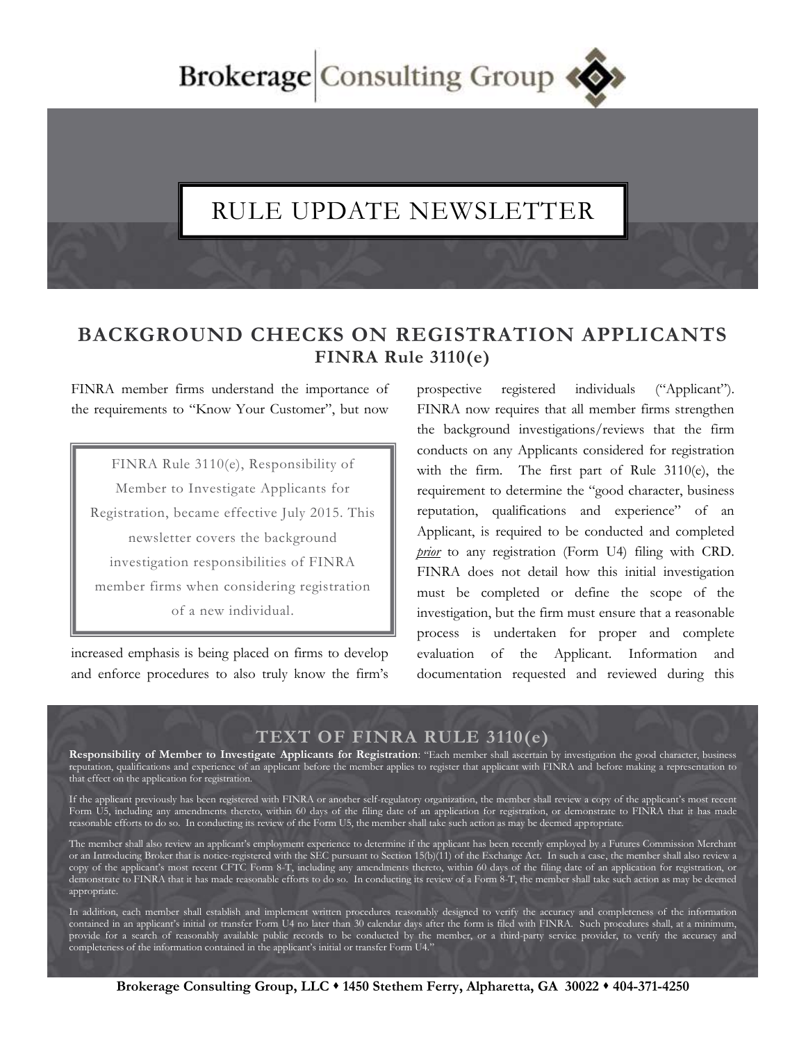Brokerage Consulting Group

## RULE UPDATE NEWSLETTER

## **BACKGROUND CHECKS ON REGISTRATION APPLICANTS FINRA Rule 3110(e)**

FINRA member firms understand the importance of the requirements to "Know Your Customer", but now

FINRA Rule 3110(e), Responsibility of Member to Investigate Applicants for Registration, became effective July 2015. This newsletter covers the background investigation responsibilities of FINRA member firms when considering registration of a new individual.

increased emphasis is being placed on firms to develop and enforce procedures to also truly know the firm's prospective registered individuals ("Applicant"). FINRA now requires that all member firms strengthen the background investigations/reviews that the firm conducts on any Applicants considered for registration with the firm. The first part of Rule 3110(e), the requirement to determine the "good character, business reputation, qualifications and experience" of an Applicant, is required to be conducted and completed *prior* to any registration (Form U4) filing with CRD. FINRA does not detail how this initial investigation must be completed or define the scope of the investigation, but the firm must ensure that a reasonable process is undertaken for proper and complete evaluation of the Applicant. Information and documentation requested and reviewed during this

## **TEXT OF FINRA RULE 3110(e)**

**Responsibility of Member to Investigate Applicants for Registration**: "Each member shall ascertain by investigation the good character, business reputation, qualifications and experience of an applicant before the member applies to register that applicant with FINRA and before making a representation to that effect on the application for registration.

If the applicant previously has been registered with FINRA or another self-regulatory organization, the member shall review a copy of the applicant's most recent Form U5, including any amendments thereto, within 60 days of the filing date of an application for registration, or demonstrate to FINRA that it has made reasonable efforts to do so. In conducting its review of the Form U5, the member shall take such action as may be deemed appropriate.

The member shall also review an applicant's employment experience to determine if the applicant has been recently employed by a Futures Commission Merchant or an Introducing Broker that is notice-registered with the SEC pursuant to Section 15(b)(11) of the Exchange Act. In such a case, the member shall also review a copy of the applicant's most recent CFTC Form 8-T, including any amendments thereto, within 60 days of the filing date of an application for registration, or demonstrate to FINRA that it has made reasonable efforts to do so. In conducting its review of a Form 8-T, the member shall take such action as may be deemed appropriate.

In addition, each member shall establish and implement written procedures reasonably designed to verify the accuracy and completeness of the information contained in an applicant's initial or transfer Form U4 no later than 30 calendar days after the form is filed with FINRA. Such procedures shall, at a minimum, provide for a search of reasonably available public records to be conducted by the member, or a third-party service provider, to verify the accuracy and completeness of the information contained in the applicant's initial or transfer Form U4."